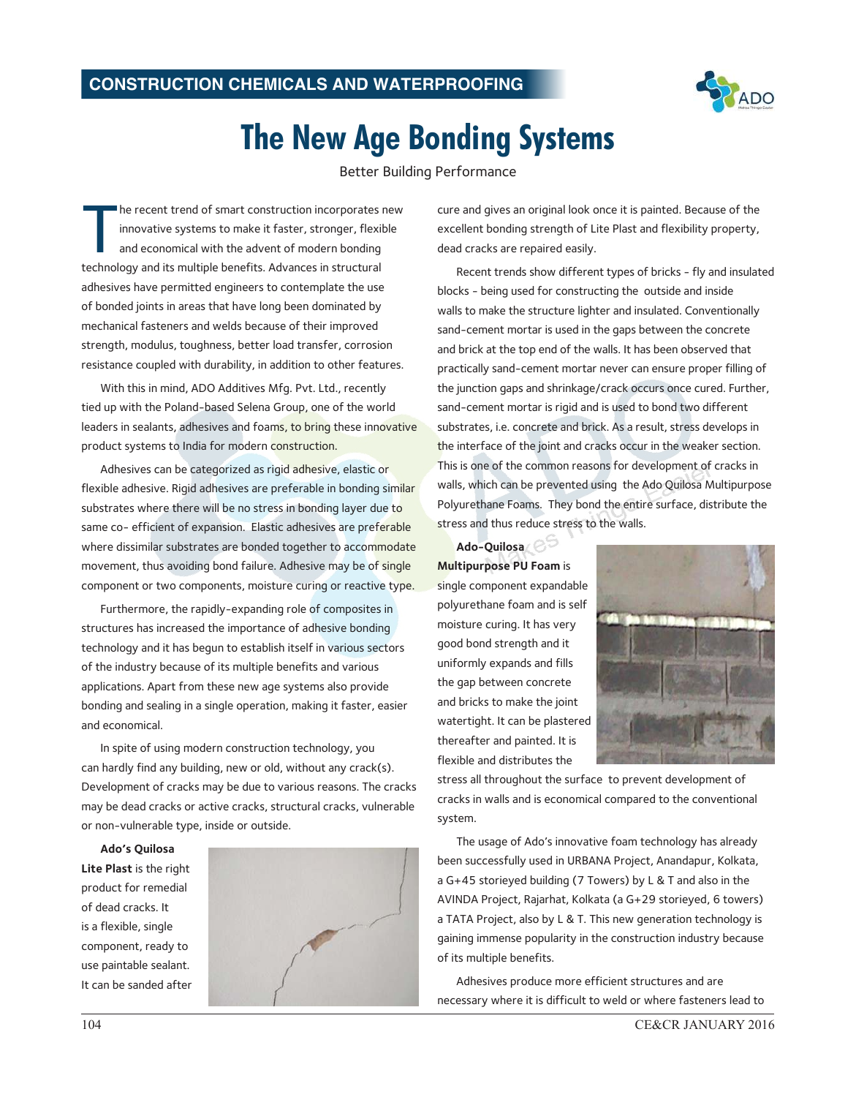

## **The New Age Bonding Systems**

Better Building Performance

The recent trend of smart construction incorporates innovative systems to make it faster, stronger, flexil and economical with the advent of modern bonding technology and its multiple benefits. Advances in structural he recent trend of smart construction incorporates new innovative systems to make it faster, stronger, flexible and economical with the advent of modern bonding adhesives have permitted engineers to contemplate the use of bonded joints in areas that have long been dominated by mechanical fasteners and welds because of their improved strength, modulus, toughness, better load transfer, corrosion resistance coupled with durability, in addition to other features.

With this in mind, ADO Additives Mfg. Pvt. Ltd., recently tied up with the Poland-based Selena Group, one of the world leaders in sealants, adhesives and foams, to bring these innovative product systems to India for modern construction.

Adhesives can be categorized as rigid adhesive, elastic or flexible adhesive. Rigid adhesives are preferable in bonding similar substrates where there will be no stress in bonding layer due to same co- efficient of expansion. Elastic adhesives are preferable where dissimilar substrates are bonded together to accommodate movement, thus avoiding bond failure. Adhesive may be of single component or two components, moisture curing or reactive type.

Furthermore, the rapidly-expanding role of composites in structures has increased the importance of adhesive bonding technology and it has begun to establish itself in various sectors of the industry because of its multiple benefits and various applications. Apart from these new age systems also provide bonding and sealing in a single operation, making it faster, easier and economical.

In spite of using modern construction technology, you can hardly find any building, new or old, without any crack(s). Development of cracks may be due to various reasons. The cracks may be dead cracks or active cracks, structural cracks, vulnerable or non-vulnerable type, inside or outside.

**Ado's Quilosa Lite Plast** is the right product for remedial of dead cracks. It is a flexible, single component, ready to use paintable sealant. It can be sanded after



cure and gives an original look once it is painted. Because of the excellent bonding strength of Lite Plast and flexibility property, dead cracks are repaired easily.

Recent trends show different types of bricks - fly and insulated blocks - being used for constructing the outside and inside walls to make the structure lighter and insulated. Conventionally sand-cement mortar is used in the gaps between the concrete and brick at the top end of the walls. It has been observed that practically sand-cement mortar never can ensure proper filling of the junction gaps and shrinkage/crack occurs once cured. Further, sand-cement mortar is rigid and is used to bond two different substrates, i.e. concrete and brick. As a result, stress develops in the interface of the joint and cracks occur in the weaker section. This is one of the common reasons for development of cracks in walls, which can be prevented using the Ado Quilosa Multipurpose Polyurethane Foams. They bond the entire surface, distribute the stress and thus reduce stress to the walls.

**Ado-Quilosa Multipurpose PU Foam** is single component expandable polyurethane foam and is self moisture curing. It has very good bond strength and it uniformly expands and fills the gap between concrete and bricks to make the joint watertight. It can be plastered thereafter and painted. It is flexible and distributes the



stress all throughout the surface to prevent development of cracks in walls and is economical compared to the conventional system.

The usage of Ado's innovative foam technology has already been successfully used in URBANA Project, Anandapur, Kolkata, a G+45 storieyed building (7 Towers) by L & T and also in the AVINDA Project, Rajarhat, Kolkata (a G+29 storieyed, 6 towers) a TATA Project, also by L & T. This new generation technology is gaining immense popularity in the construction industry because of its multiple benefits.

Adhesives produce more efficient structures and are necessary where it is difficult to weld or where fasteners lead to